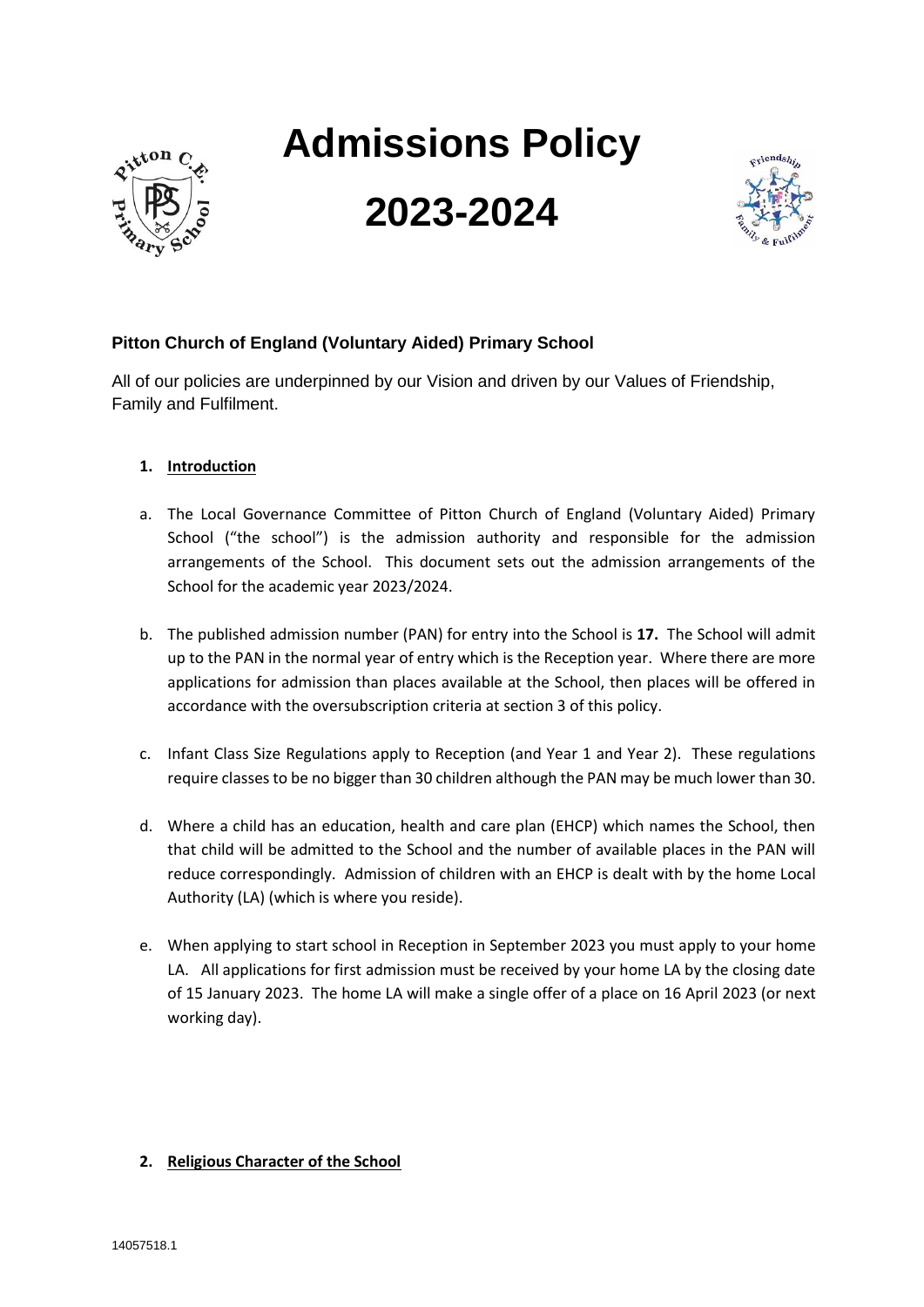

# **Admissions Policy**

## **2023-2024**



### **Pitton Church of England (Voluntary Aided) Primary School**

All of our policies are underpinned by our Vision and driven by our Values of Friendship, Family and Fulfilment.

#### **1. Introduction**

- a. The Local Governance Committee of Pitton Church of England (Voluntary Aided) Primary School ("the school") is the admission authority and responsible for the admission arrangements of the School. This document sets out the admission arrangements of the School for the academic year 2023/2024.
- b. The published admission number (PAN) for entry into the School is **17.** The School will admit up to the PAN in the normal year of entry which is the Reception year. Where there are more applications for admission than places available at the School, then places will be offered in accordance with the oversubscription criteria at section 3 of this policy.
- c. Infant Class Size Regulations apply to Reception (and Year 1 and Year 2). These regulations require classes to be no bigger than 30 children although the PAN may be much lower than 30.
- d. Where a child has an education, health and care plan (EHCP) which names the School, then that child will be admitted to the School and the number of available places in the PAN will reduce correspondingly. Admission of children with an EHCP is dealt with by the home Local Authority (LA) (which is where you reside).
- e. When applying to start school in Reception in September 2023 you must apply to your home LA. All applications for first admission must be received by your home LA by the closing date of 15 January 2023. The home LA will make a single offer of a place on 16 April 2023 (or next working day).

#### **2. Religious Character of the School**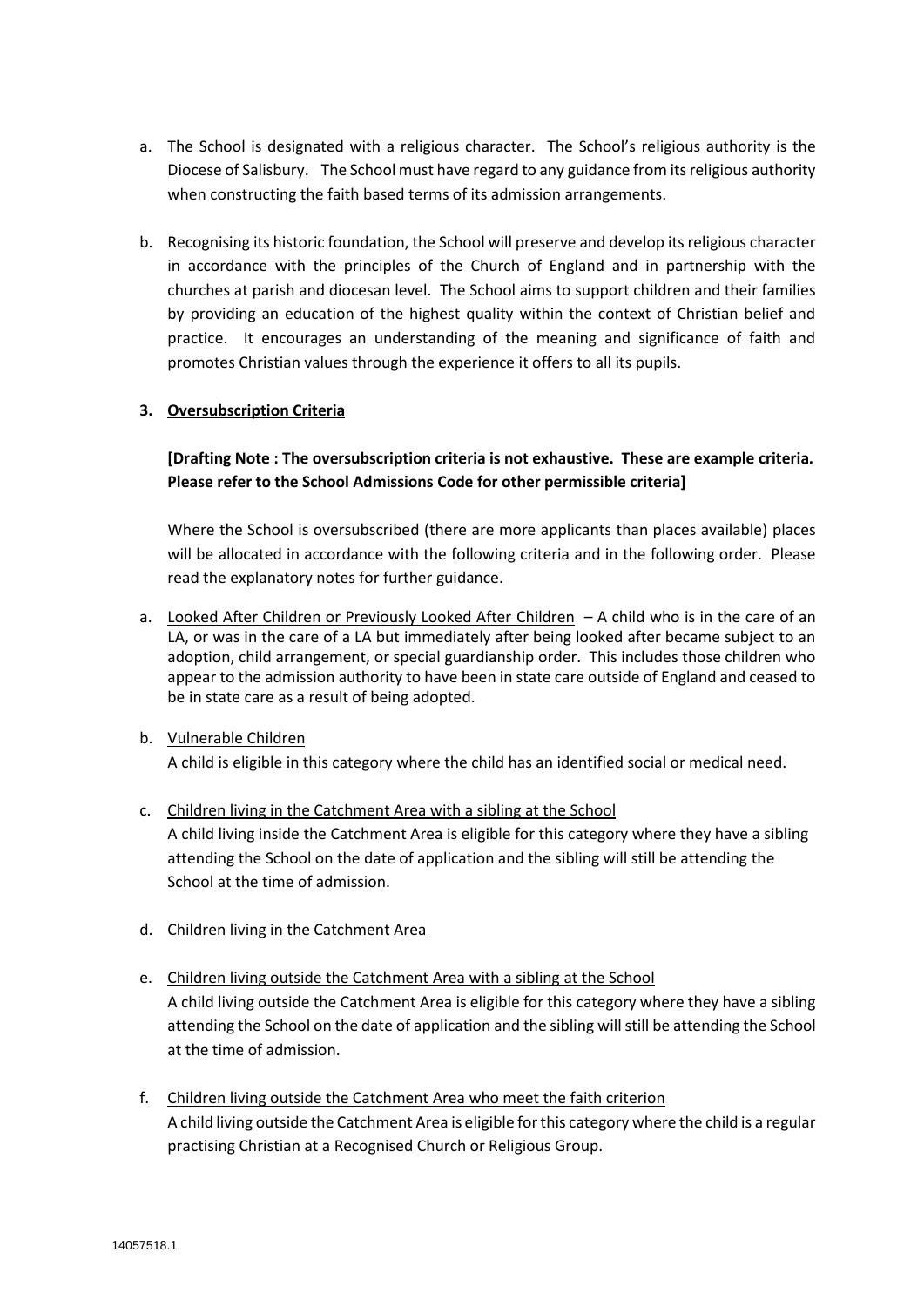- a. The School is designated with a religious character. The School's religious authority is the Diocese of Salisbury. The School must have regard to any guidance from its religious authority when constructing the faith based terms of its admission arrangements.
- b. Recognising its historic foundation, the School will preserve and develop its religious character in accordance with the principles of the Church of England and in partnership with the churches at parish and diocesan level. The School aims to support children and their families by providing an education of the highest quality within the context of Christian belief and practice. It encourages an understanding of the meaning and significance of faith and promotes Christian values through the experience it offers to all its pupils.

#### **3. Oversubscription Criteria**

**[Drafting Note : The oversubscription criteria is not exhaustive. These are example criteria. Please refer to the School Admissions Code for other permissible criteria]**

Where the School is oversubscribed (there are more applicants than places available) places will be allocated in accordance with the following criteria and in the following order. Please read the explanatory notes for further guidance.

a. Looked After Children or Previously Looked After Children – A child who is in the care of an LA, or was in the care of a LA but immediately after being looked after became subject to an adoption, child arrangement, or special guardianship order. This includes those children who appear to the admission authority to have been in state care outside of England and ceased to be in state care as a result of being adopted.

#### b. Vulnerable Children

A child is eligible in this category where the child has an identified social or medical need.

- c. Children living in the Catchment Area with a sibling at the School A child living inside the Catchment Area is eligible for this category where they have a sibling attending the School on the date of application and the sibling will still be attending the School at the time of admission.
- d. Children living in the Catchment Area
- e. Children living outside the Catchment Area with a sibling at the School A child living outside the Catchment Area is eligible for this category where they have a sibling attending the School on the date of application and the sibling will still be attending the School at the time of admission.
- f. Children living outside the Catchment Area who meet the faith criterion A child living outside the Catchment Area is eligible for this category where the child is a regular practising Christian at a Recognised Church or Religious Group.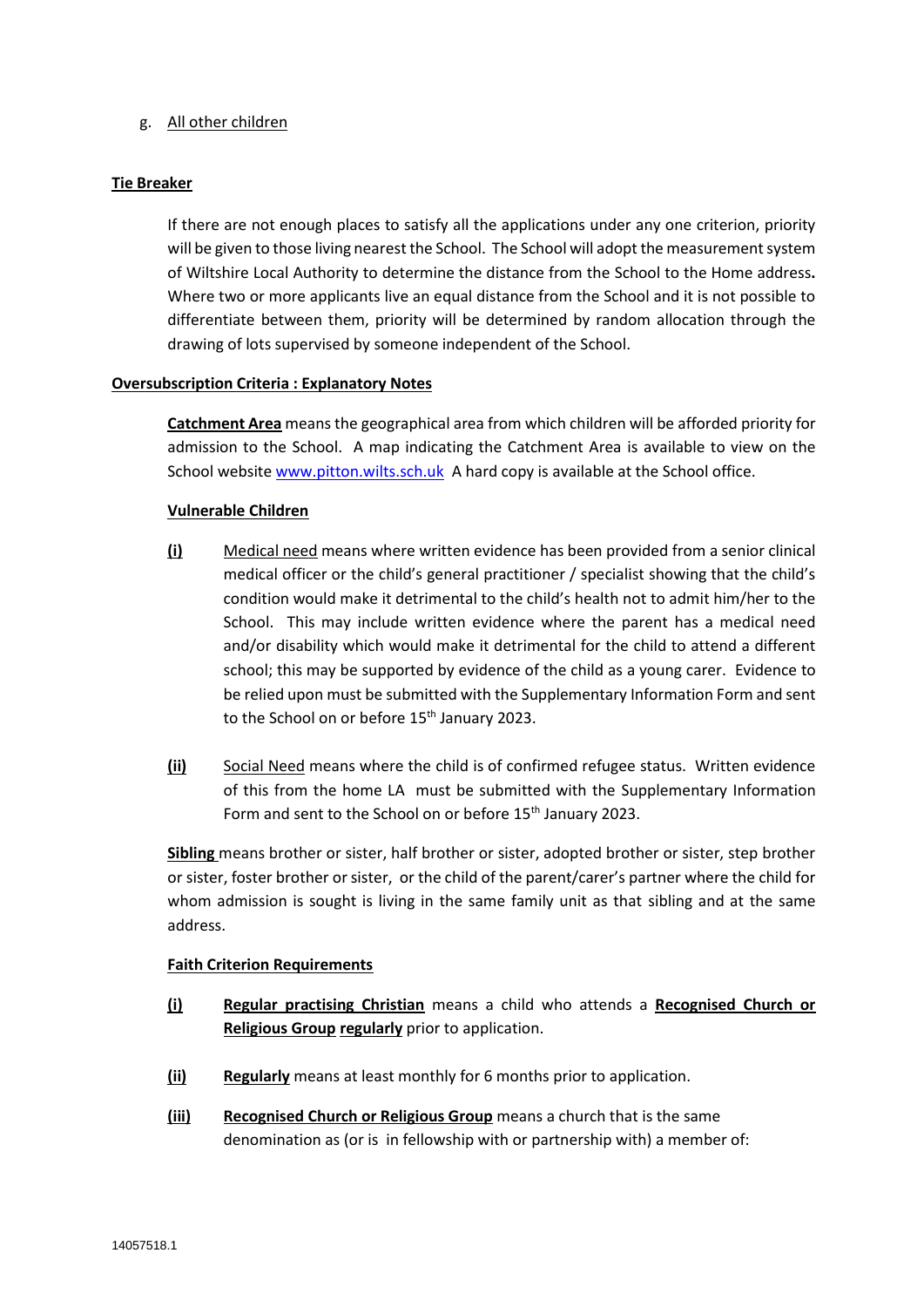#### g. All other children

#### **Tie Breaker**

If there are not enough places to satisfy all the applications under any one criterion, priority will be given to those living nearest the School. The School will adopt the measurement system of Wiltshire Local Authority to determine the distance from the School to the Home address**.**  Where two or more applicants live an equal distance from the School and it is not possible to differentiate between them, priority will be determined by random allocation through the drawing of lots supervised by someone independent of the School.

#### **Oversubscription Criteria : Explanatory Notes**

**Catchment Area** means the geographical area from which children will be afforded priority for admission to the School. A map indicating the Catchment Area is available to view on the School websit[e www.pitton.wilts.sch.uk](http://www.pitton.wilts.sch.uk/) A hard copy is available at the School office.

#### **Vulnerable Children**

- **(i)** Medical need means where written evidence has been provided from a senior clinical medical officer or the child's general practitioner / specialist showing that the child's condition would make it detrimental to the child's health not to admit him/her to the School. This may include written evidence where the parent has a medical need and/or disability which would make it detrimental for the child to attend a different school; this may be supported by evidence of the child as a young carer. Evidence to be relied upon must be submitted with the Supplementary Information Form and sent to the School on or before 15<sup>th</sup> January 2023.
- **(ii)** Social Need means where the child is of confirmed refugee status. Written evidence of this from the home LA must be submitted with the Supplementary Information Form and sent to the School on or before 15<sup>th</sup> January 2023.

**Sibling** means brother or sister, half brother or sister, adopted brother or sister, step brother or sister, foster brother or sister, or the child of the parent/carer's partner where the child for whom admission is sought is living in the same family unit as that sibling and at the same address.

#### **Faith Criterion Requirements**

- **(i) Regular practising Christian** means a child who attends a **Recognised Church or Religious Group regularly** prior to application.
- **(ii) Regularly** means at least monthly for 6 months prior to application.
- **(iii) Recognised Church or Religious Group** means a church that is the same denomination as (or is in fellowship with or partnership with) a member of: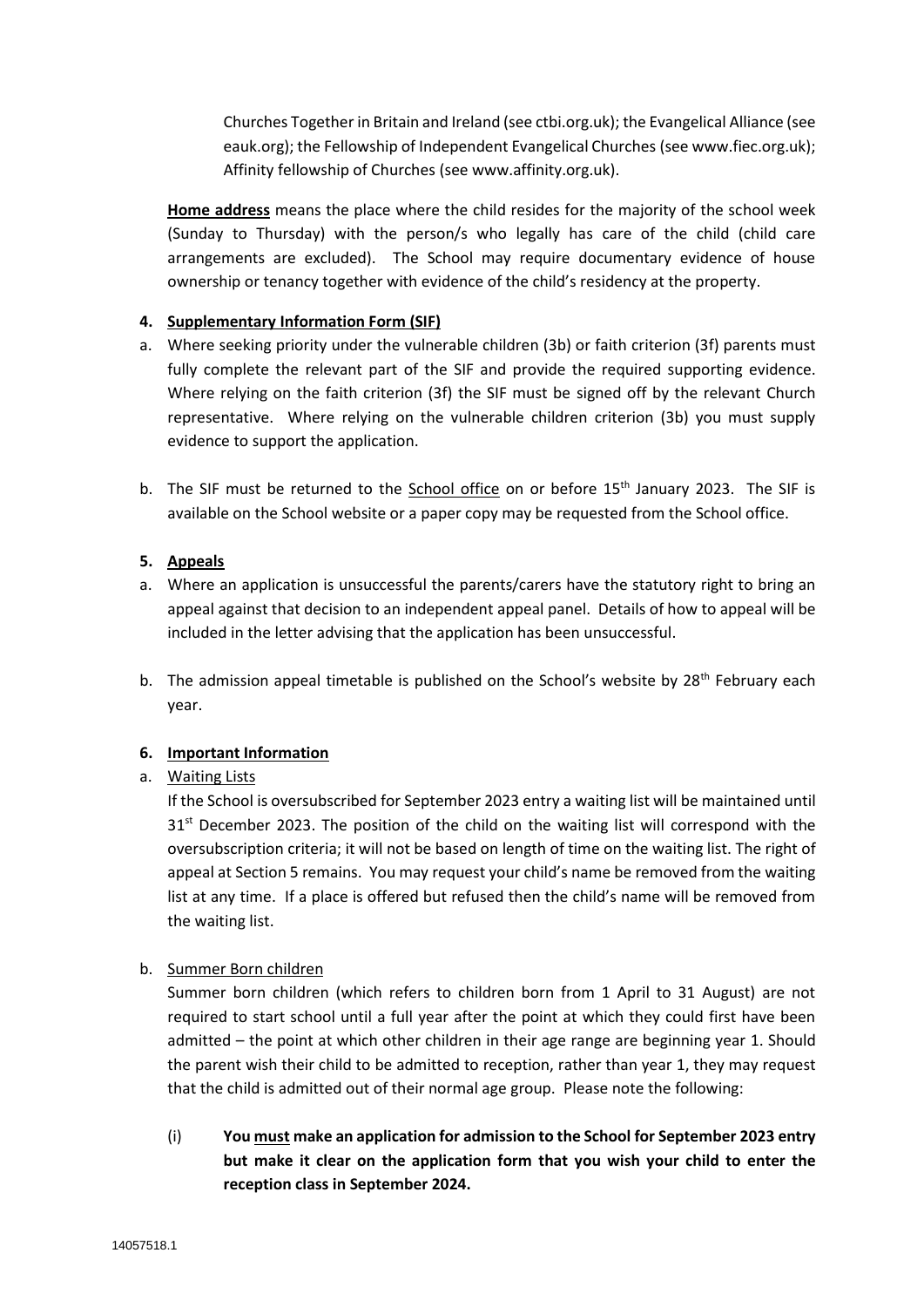Churches Together in Britain and Ireland (see ctbi.org.uk); the Evangelical Alliance (see eauk.org); the Fellowship of Independent Evangelical Churches (see www.fiec.org.uk); Affinity fellowship of Churches (see www.affinity.org.uk).

**Home address** means the place where the child resides for the majority of the school week (Sunday to Thursday) with the person/s who legally has care of the child (child care arrangements are excluded). The School may require documentary evidence of house ownership or tenancy together with evidence of the child's residency at the property.

#### **4. Supplementary Information Form (SIF)**

- a. Where seeking priority under the vulnerable children (3b) or faith criterion (3f) parents must fully complete the relevant part of the SIF and provide the required supporting evidence. Where relying on the faith criterion (3f) the SIF must be signed off by the relevant Church representative. Where relying on the vulnerable children criterion (3b) you must supply evidence to support the application.
- b. The SIF must be returned to the School office on or before 15<sup>th</sup> January 2023. The SIF is available on the School website or a paper copy may be requested from the School office.

#### **5. Appeals**

- a. Where an application is unsuccessful the parents/carers have the statutory right to bring an appeal against that decision to an independent appeal panel. Details of how to appeal will be included in the letter advising that the application has been unsuccessful.
- b. The admission appeal timetable is published on the School's website by  $28<sup>th</sup>$  February each year.

#### **6. Important Information**

#### a. Waiting Lists

If the School is oversubscribed for September 2023 entry a waiting list will be maintained until  $31<sup>st</sup>$  December 2023. The position of the child on the waiting list will correspond with the oversubscription criteria; it will not be based on length of time on the waiting list. The right of appeal at Section 5 remains. You may request your child's name be removed from the waiting list at any time. If a place is offered but refused then the child's name will be removed from the waiting list.

#### b. Summer Born children

Summer born children (which refers to children born from 1 April to 31 August) are not required to start school until a full year after the point at which they could first have been admitted – the point at which other children in their age range are beginning year 1. Should the parent wish their child to be admitted to reception, rather than year 1, they may request that the child is admitted out of their normal age group. Please note the following:

(i) **You must make an application for admission to the School for September 2023 entry but make it clear on the application form that you wish your child to enter the reception class in September 2024.**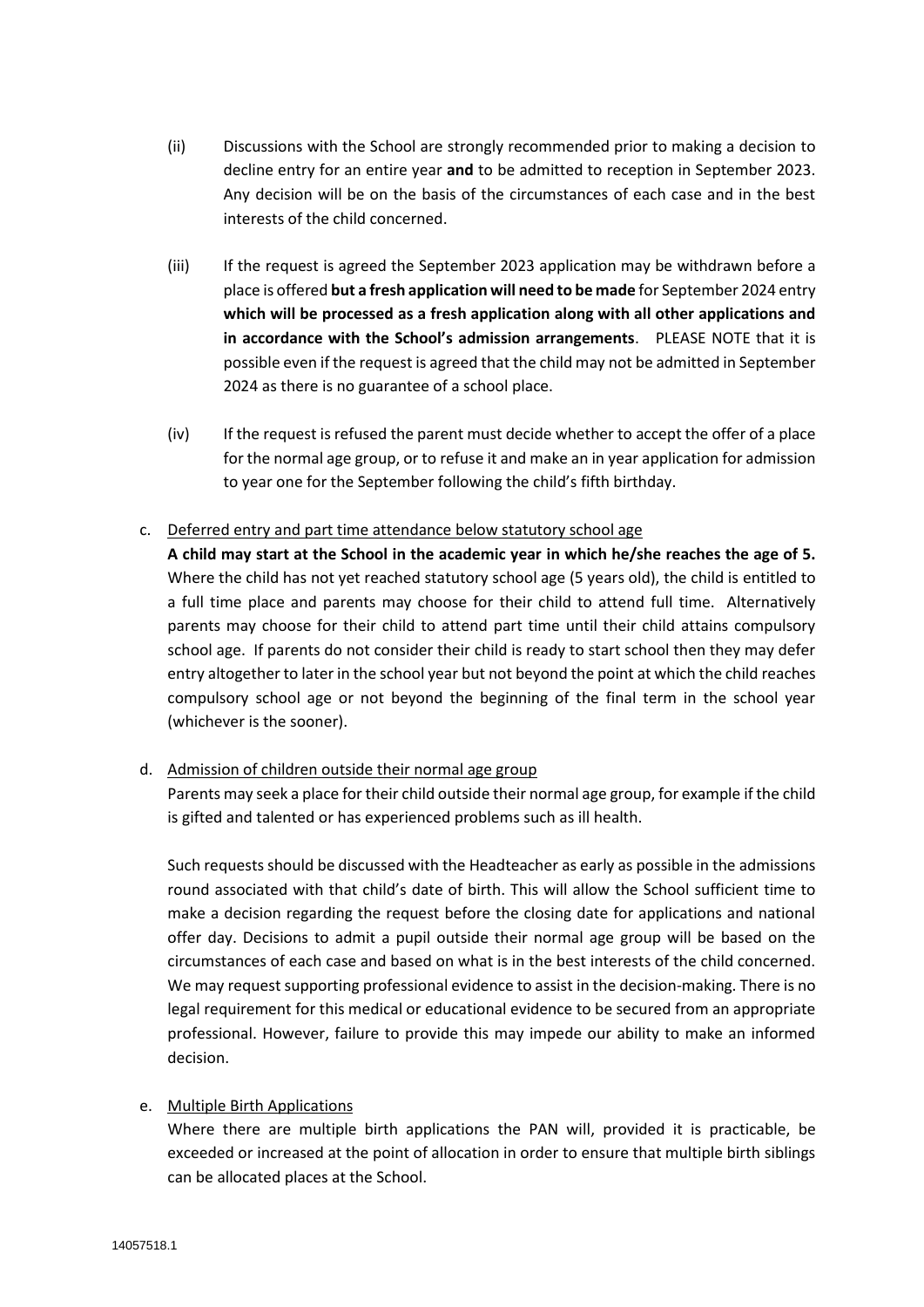- (ii) Discussions with the School are strongly recommended prior to making a decision to decline entry for an entire year **and** to be admitted to reception in September 2023. Any decision will be on the basis of the circumstances of each case and in the best interests of the child concerned.
- (iii) If the request is agreed the September 2023 application may be withdrawn before a place is offered **but a fresh application will need to be made** for September 2024 entry **which will be processed as a fresh application along with all other applications and in accordance with the School's admission arrangements**. PLEASE NOTE that it is possible even if the request is agreed that the child may not be admitted in September 2024 as there is no guarantee of a school place.
- (iv) If the request is refused the parent must decide whether to accept the offer of a place for the normal age group, or to refuse it and make an in year application for admission to year one for the September following the child's fifth birthday.

#### c. Deferred entry and part time attendance below statutory school age

**A child may start at the School in the academic year in which he/she reaches the age of 5.**  Where the child has not yet reached statutory school age (5 years old), the child is entitled to a full time place and parents may choose for their child to attend full time. Alternatively parents may choose for their child to attend part time until their child attains compulsory school age. If parents do not consider their child is ready to start school then they may defer entry altogether to later in the school year but not beyond the point at which the child reaches compulsory school age or not beyond the beginning of the final term in the school year (whichever is the sooner).

#### d. Admission of children outside their normal age group

Parents may seek a place for their child outside their normal age group, for example if the child is gifted and talented or has experienced problems such as ill health.

Such requests should be discussed with the Headteacher as early as possible in the admissions round associated with that child's date of birth. This will allow the School sufficient time to make a decision regarding the request before the closing date for applications and national offer day. Decisions to admit a pupil outside their normal age group will be based on the circumstances of each case and based on what is in the best interests of the child concerned. We may request supporting professional evidence to assist in the decision-making. There is no legal requirement for this medical or educational evidence to be secured from an appropriate professional. However, failure to provide this may impede our ability to make an informed decision.

#### e. Multiple Birth Applications

Where there are multiple birth applications the PAN will, provided it is practicable, be exceeded or increased at the point of allocation in order to ensure that multiple birth siblings can be allocated places at the School.